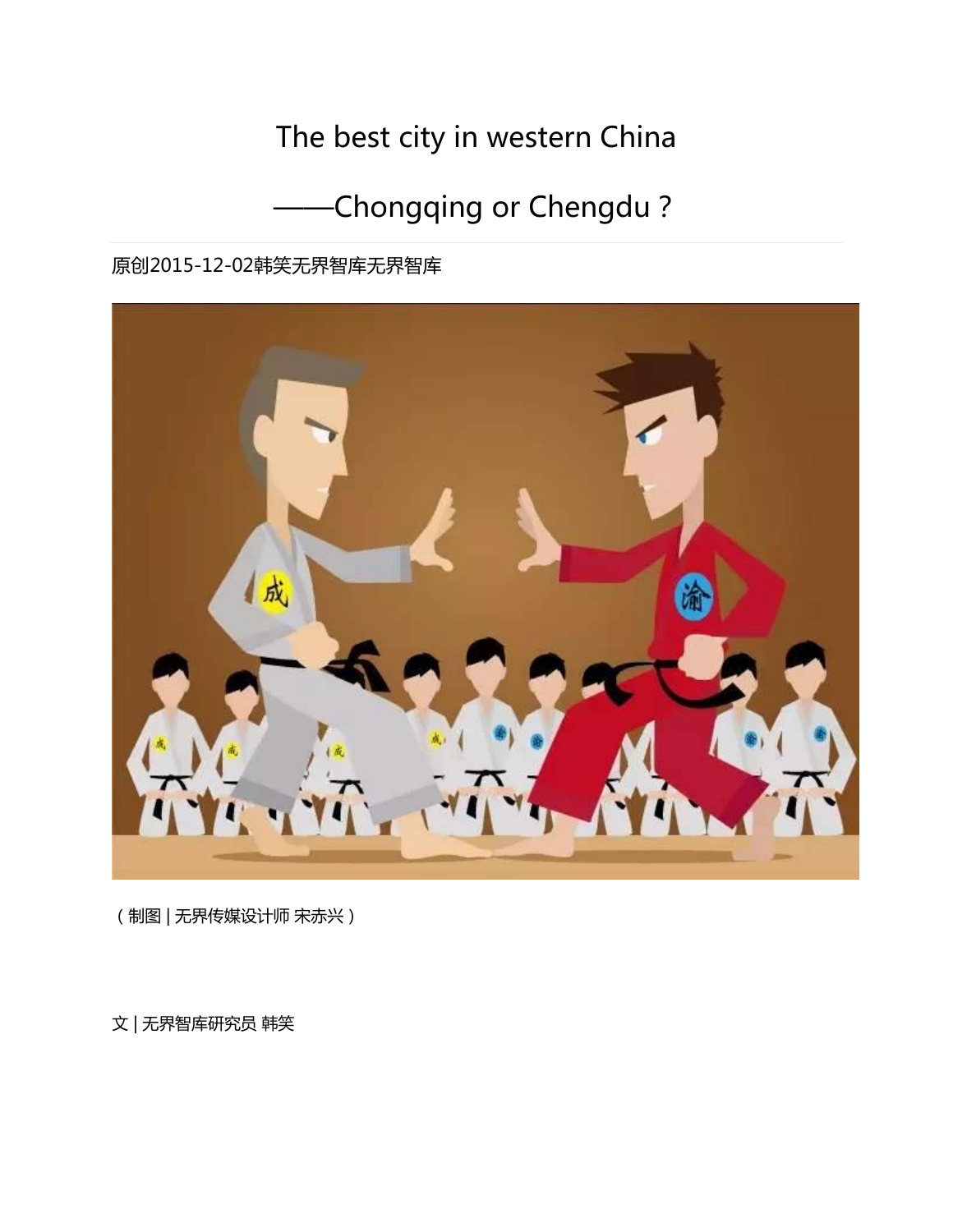# The best city in western China

# -Chongqing or Chengdu?

原创2015-12-02韩[笑无界智库无](javascript:void(0);)界智库



(制图 | 无界传媒设计师 宋赤兴)

文 | 无界智库研究员 韩笑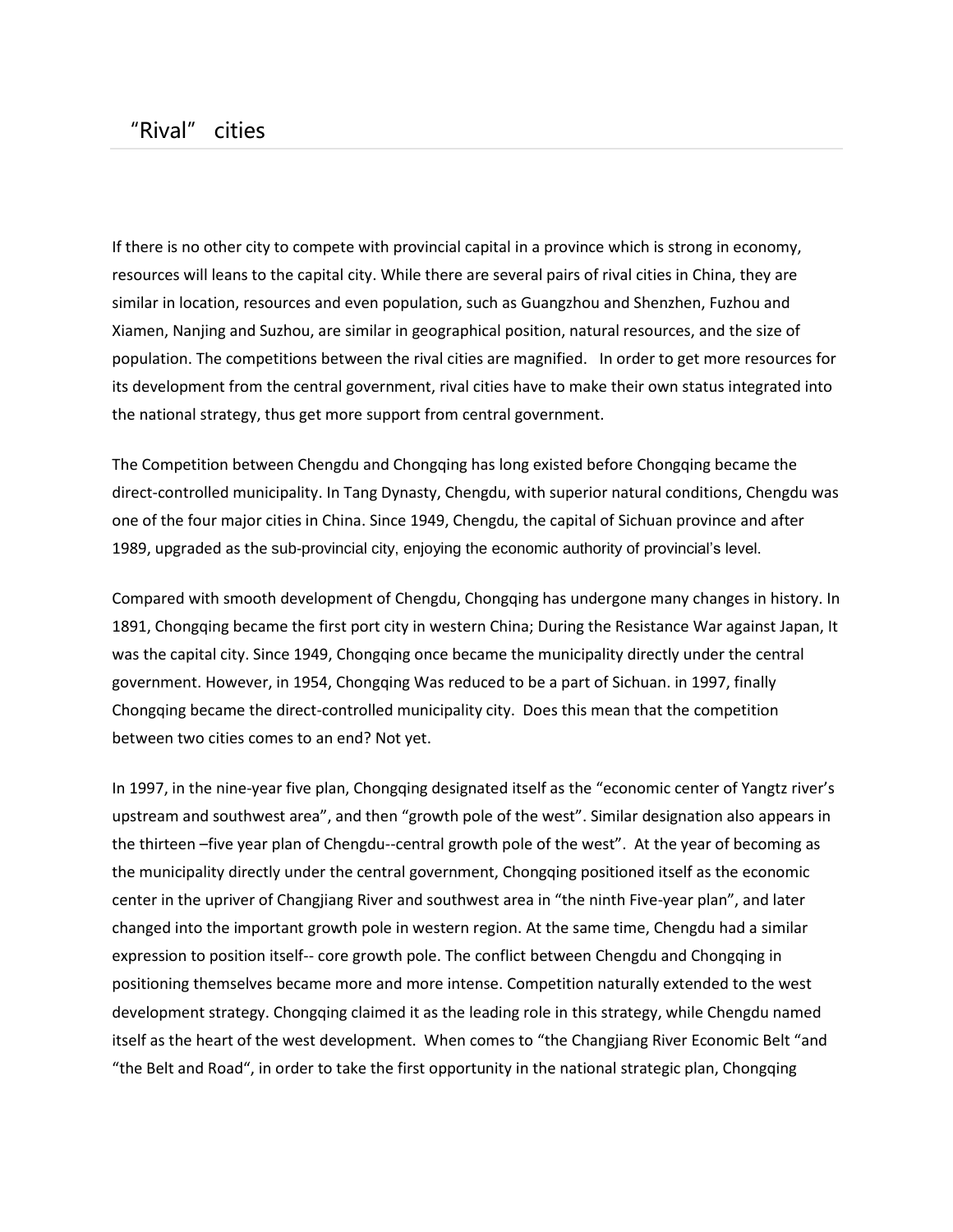If there is no other city to compete with provincial capital in a province which is strong in economy, resources will leans to the capital city. While there are several pairs of rival cities in China, they are similar in location, resources and even population, such as Guangzhou and Shenzhen, Fuzhou and Xiamen, Nanjing and Suzhou, are similar in geographical position, natural resources, and the size of population. The competitions between the rival cities are magnified. In order to get more resources for its development from the central government, rival cities have to make their own status integrated into the national strategy, thus get more support from central government.

The Competition between Chengdu and Chongqing has long existed before Chongqing became the direct-controlled municipality. In Tang Dynasty, Chengdu, with superior natural conditions, Chengdu was one of the four major cities in China. Since 1949, Chengdu, the capital of Sichuan province and after 1989, upgraded as the sub-provincial city, enjoying the economic authority of provincial's level.

Compared with smooth development of Chengdu, Chongqing has undergone many changes in history. In 1891, Chongqing became the first port city in western China; During the Resistance War against Japan, It was the capital city. Since 1949, Chongqing once became the municipality directly under the central government. However, in 1954, Chongqing Was reduced to be a part of Sichuan. in 1997, finally Chongqing became the direct-controlled municipality city. Does this mean that the competition between two cities comes to an end? Not yet.

In 1997, in the nine-year five plan, Chongqing designated itself as the "economic center of Yangtz river's upstream and southwest area", and then "growth pole of the west". Similar designation also appears in the thirteen –five year plan of Chengdu--central growth pole of the west". At the year of becoming as the municipality directly under the central government, Chongqing positioned itself as the economic center in the upriver of Changjiang River and southwest area in "the ninth Five-year plan", and later changed into the important growth pole in western region. At the same time, Chengdu had a similar expression to position itself-- core growth pole. The conflict between Chengdu and Chongqing in positioning themselves became more and more intense. Competition naturally extended to the west development strategy. Chongqing claimed it as the leading role in this strategy, while Chengdu named itself as the heart of the west development. When comes to "the Changjiang River Economic Belt "and "the Belt and Road", in order to take the first opportunity in the national strategic plan, Chongqing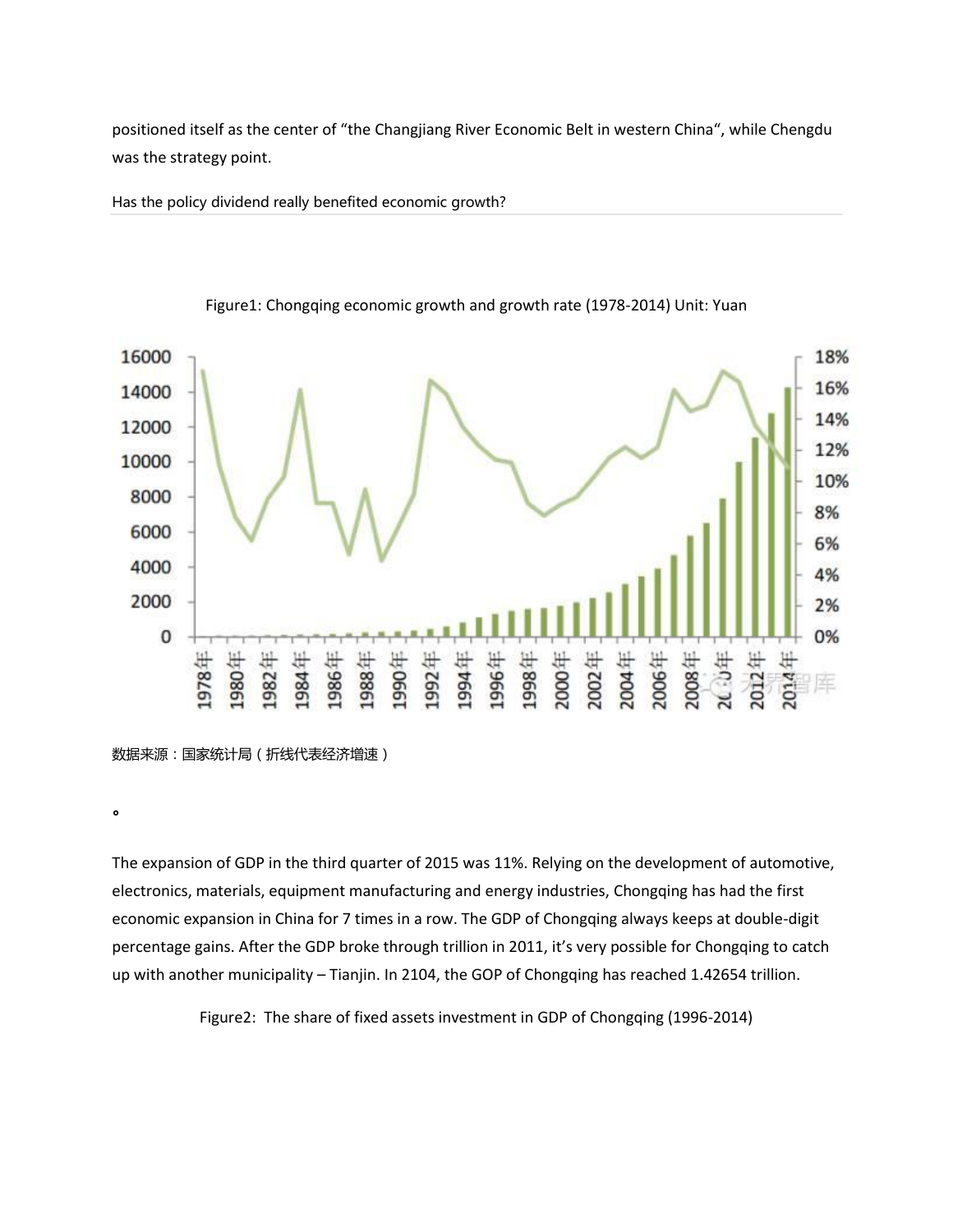positioned itself as the center of "the Changjiang River Economic Belt in western China", while Chengdu was the strategy point.

Has the policy dividend really benefited economic growth?



#### Figure1: Chongqing economic growth and growth rate (1978-2014) Unit: Yuan

。

The expansion of GDP in the third quarter of 2015 was 11%. Relying on the development of automotive, electronics, materials, equipment manufacturing and energy industries, Chongqing has had the first economic expansion in China for 7 times in a row. The GDP of Chongqing always keeps at double-digit percentage gains. After the GDP broke through trillion in 2011, it's very possible for Chongqing to catch up with another municipality – Tianjin. In 2104, the GOP of Chongqing has reached 1.42654 trillion.

Figure2: The share of fixed assets investment in GDP of Chongqing (1996-2014)

数据来源:国家统计局(折线代表经济增速)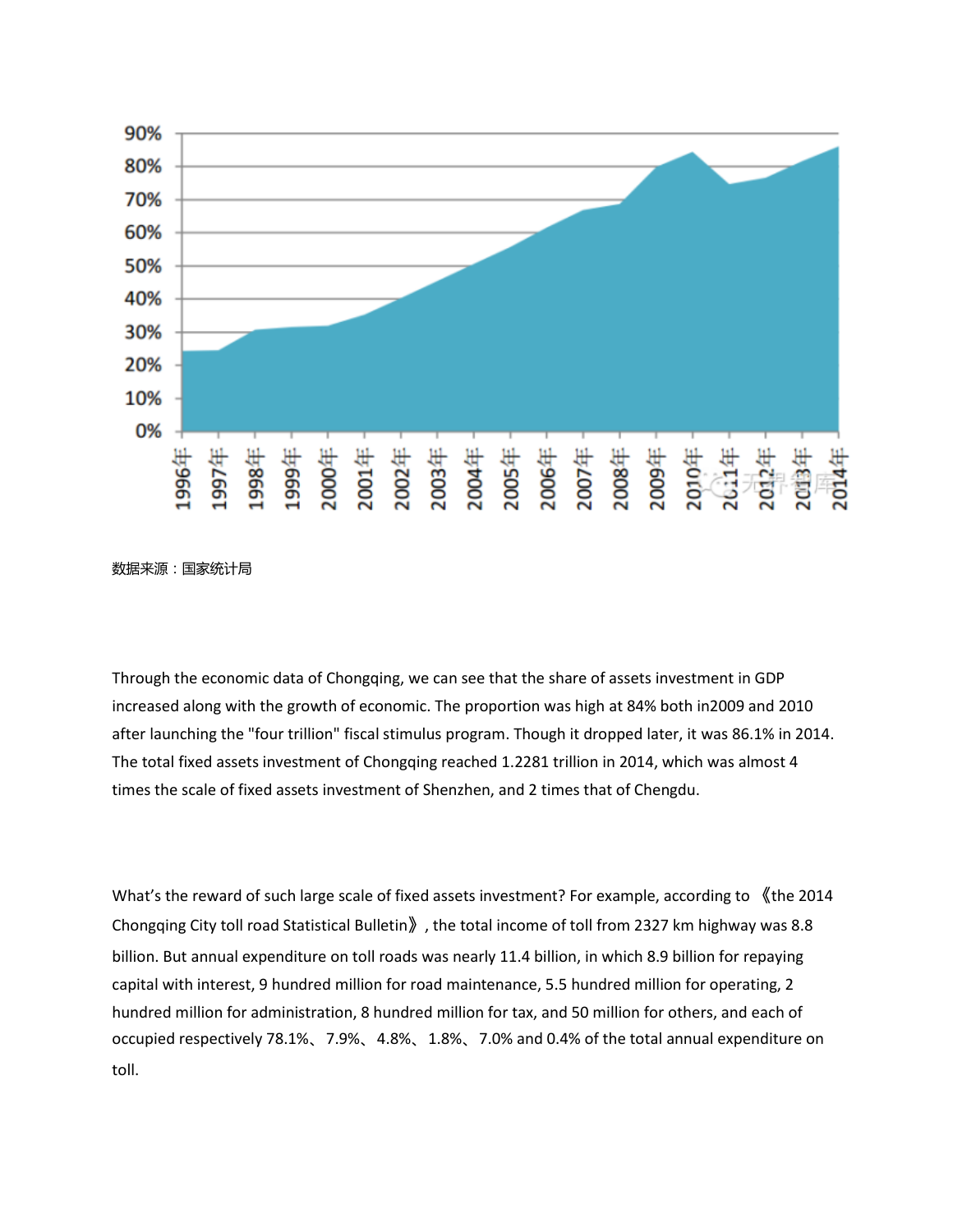



Through the economic data of Chongqing, we can see that the share of assets investment in GDP increased along with the growth of economic. The proportion was high at 84% both in2009 and 2010 after launching the "four trillion" fiscal stimulus program. Though it dropped later, it was 86.1% in 2014. The total fixed assets investment of Chongqing reached 1.2281 trillion in 2014, which was almost 4 times the scale of fixed assets investment of Shenzhen, and 2 times that of Chengdu.

What's the reward of such large scale of fixed assets investment? For example, according to 《the 2014 Chongqing City toll road Statistical Bulletin》, the total income of toll from 2327 km highway was 8.8 billion. But annual expenditure on toll roads was nearly 11.4 billion, in which 8.9 billion for repaying capital with interest, 9 hundred million for road maintenance, 5.5 hundred million for operating, 2 hundred million for administration, 8 hundred million for tax, and 50 million for others, and each of occupied respectively 78.1%、7.9%、4.8%、1.8%、7.0% and 0.4% of the total annual expenditure on toll.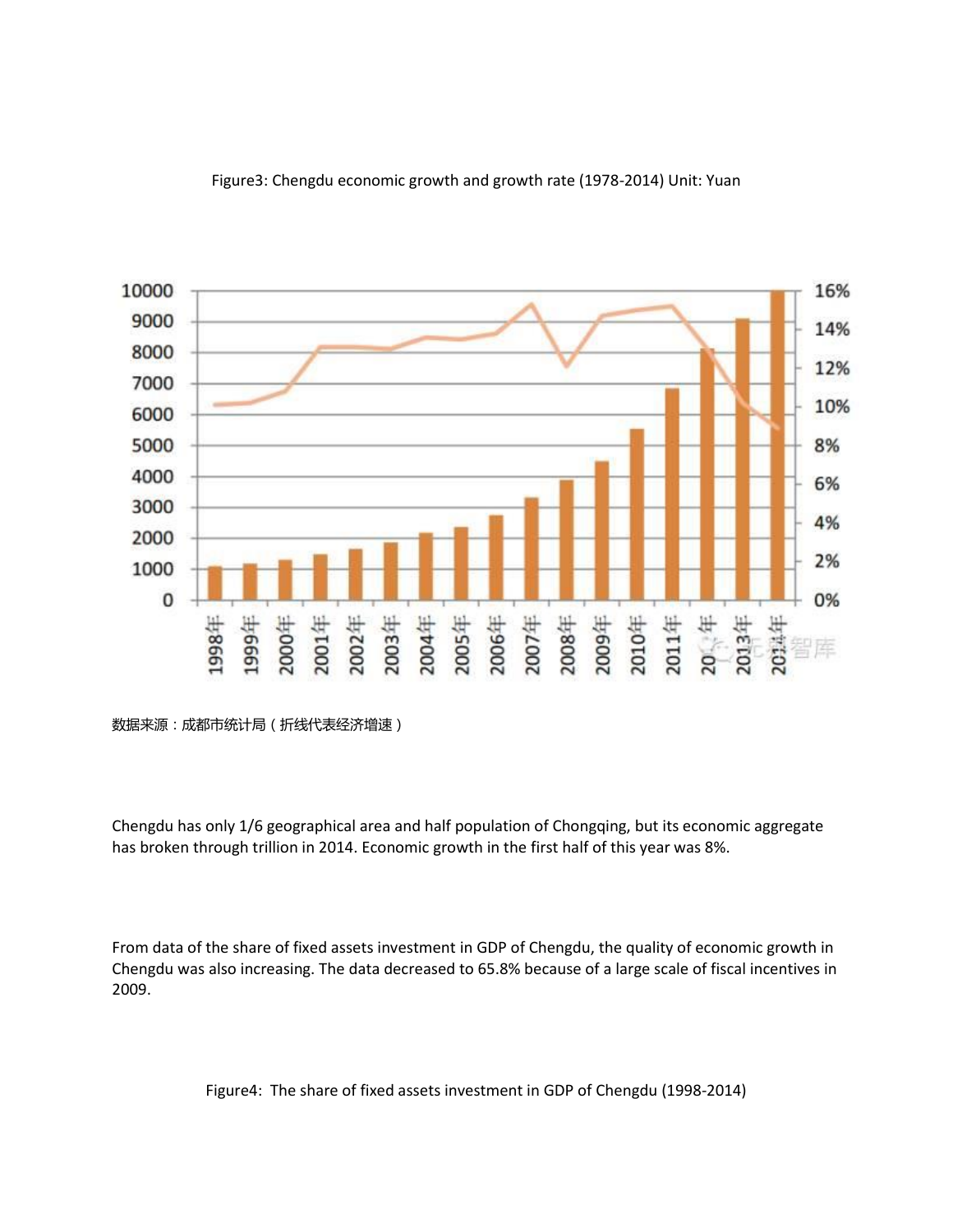

## Figure3: Chengdu economic growth and growth rate (1978-2014) Unit: Yuan

Chengdu has only 1/6 geographical area and half population of Chongqing, but its economic aggregate has broken through trillion in 2014. Economic growth in the first half of this year was 8%.

From data of the share of fixed assets investment in GDP of Chengdu, the quality of economic growth in Chengdu was also increasing. The data decreased to 65.8% because of a large scale of fiscal incentives in 2009.

Figure4: The share of fixed assets investment in GDP of Chengdu (1998-2014)

数据来源:成都市统计局(折线代表经济增速)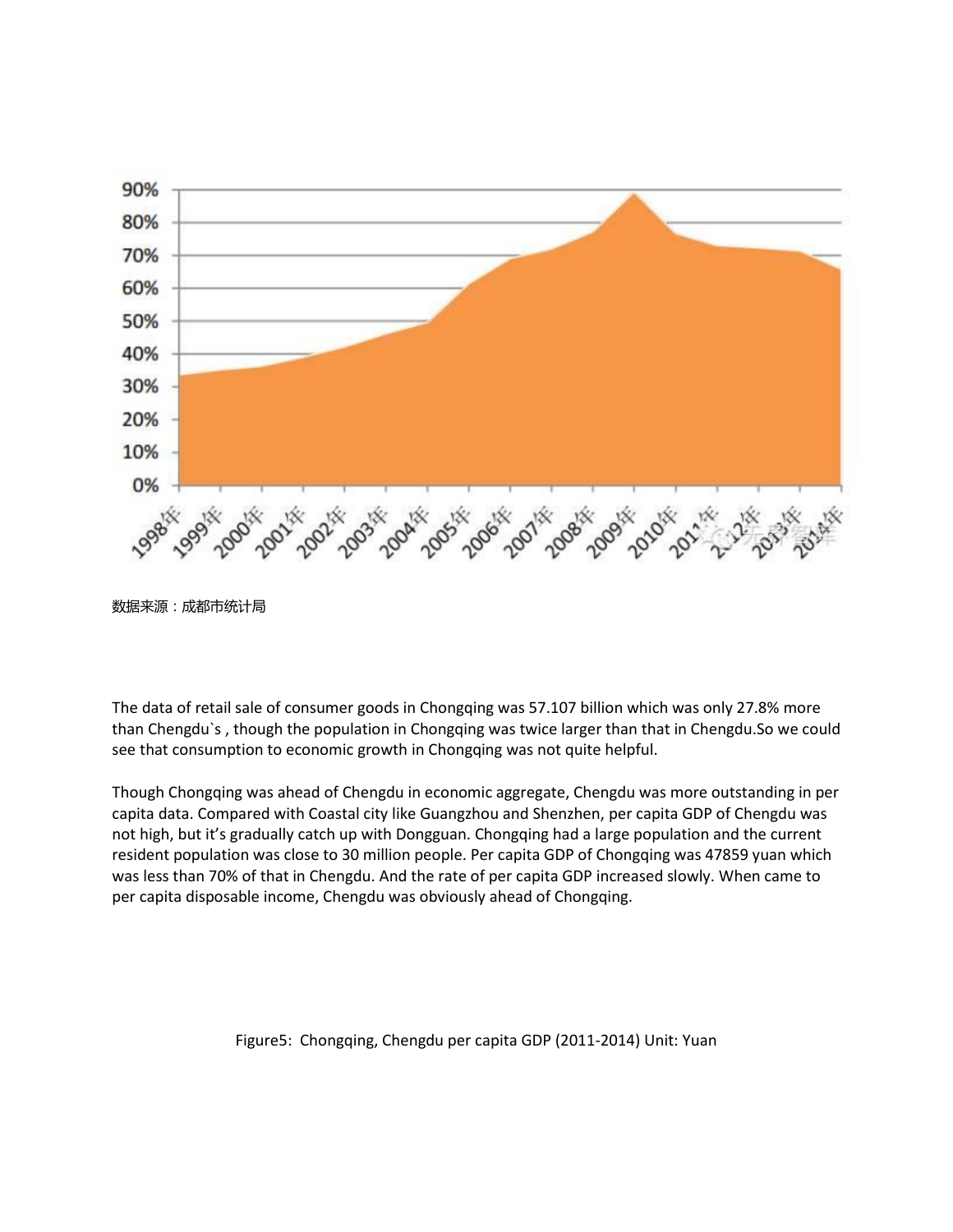

数据来源:成都市统计局

The data of retail sale of consumer goods in Chongqing was 57.107 billion which was only 27.8% more than Chengdu`s , though the population in Chongqing was twice larger than that in Chengdu.So we could see that consumption to economic growth in Chongqing was not quite helpful.

Though Chongqing was ahead of Chengdu in economic aggregate, Chengdu was more outstanding in per capita data. Compared with Coastal city like Guangzhou and Shenzhen, per capita GDP of Chengdu was not high, but it's gradually catch up with Dongguan. Chongqing had a large population and the current resident population was close to 30 million people. Per capita GDP of Chongqing was 47859 yuan which was less than 70% of that in Chengdu. And the rate of per capita GDP increased slowly. When came to per capita disposable income, Chengdu was obviously ahead of Chongqing.

Figure5: Chongqing, Chengdu per capita GDP (2011-2014) Unit: Yuan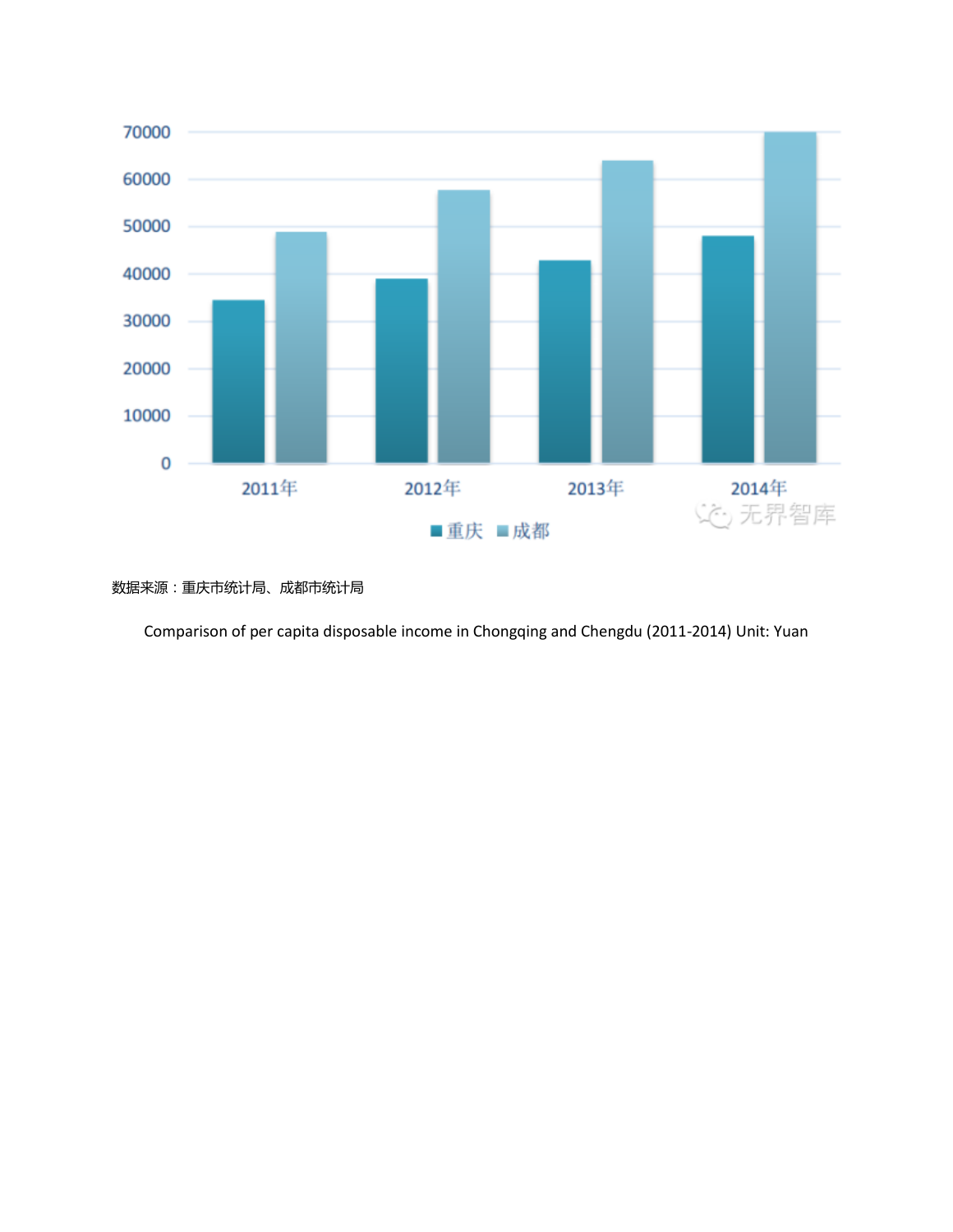

数据来源:重庆市统计局、成都市统计局

Comparison of per capita disposable income in Chongqing and Chengdu (2011-2014) Unit: Yuan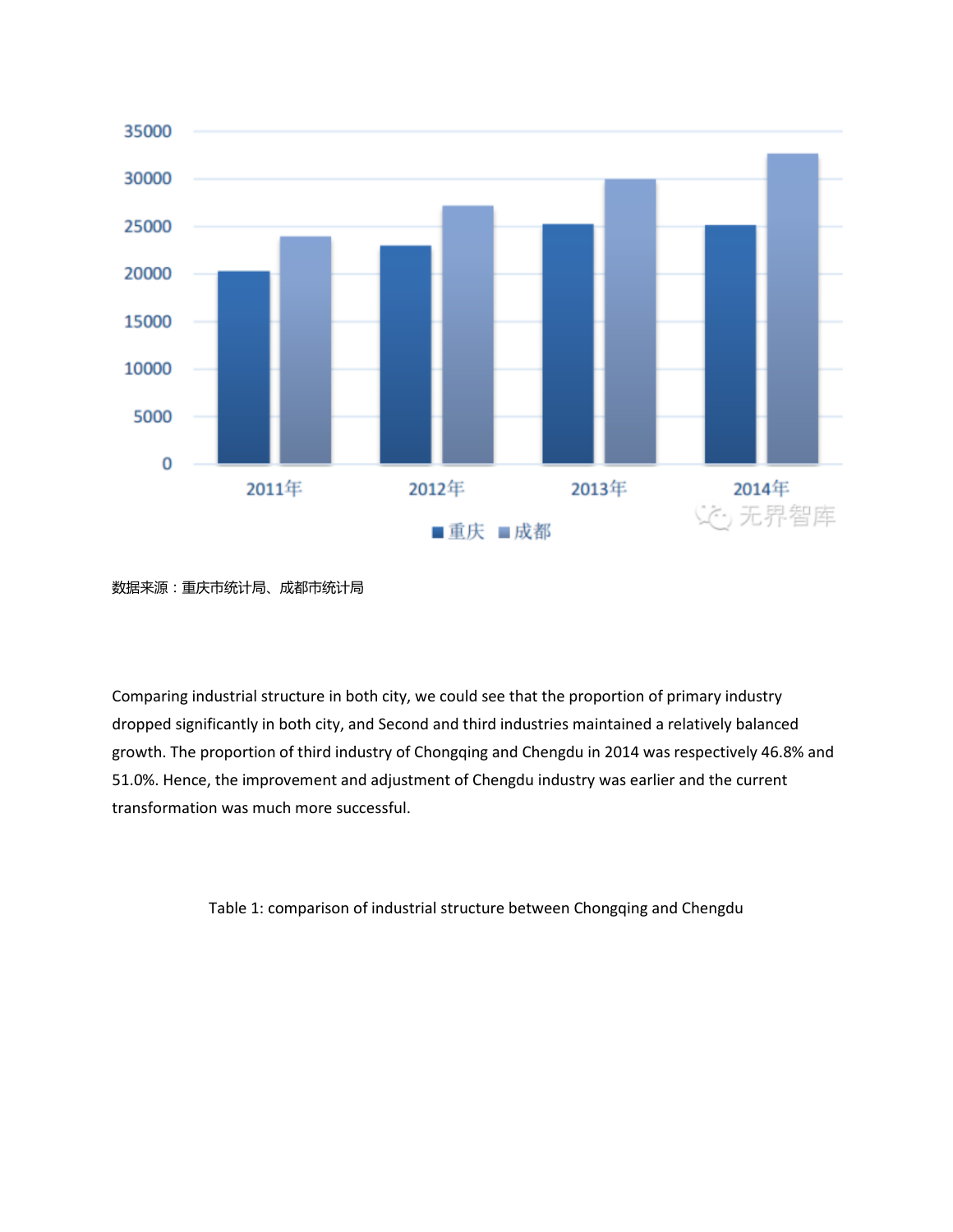

数据来源:重庆市统计局、成都市统计局

Comparing industrial structure in both city, we could see that the proportion of primary industry dropped significantly in both city, and Second and third industries maintained a relatively balanced growth. The proportion of third industry of Chongqing and Chengdu in 2014 was respectively 46.8% and 51.0%. Hence, the improvement and adjustment of Chengdu industry was earlier and the current transformation was much more successful.

Table 1: comparison of industrial structure between Chongqing and Chengdu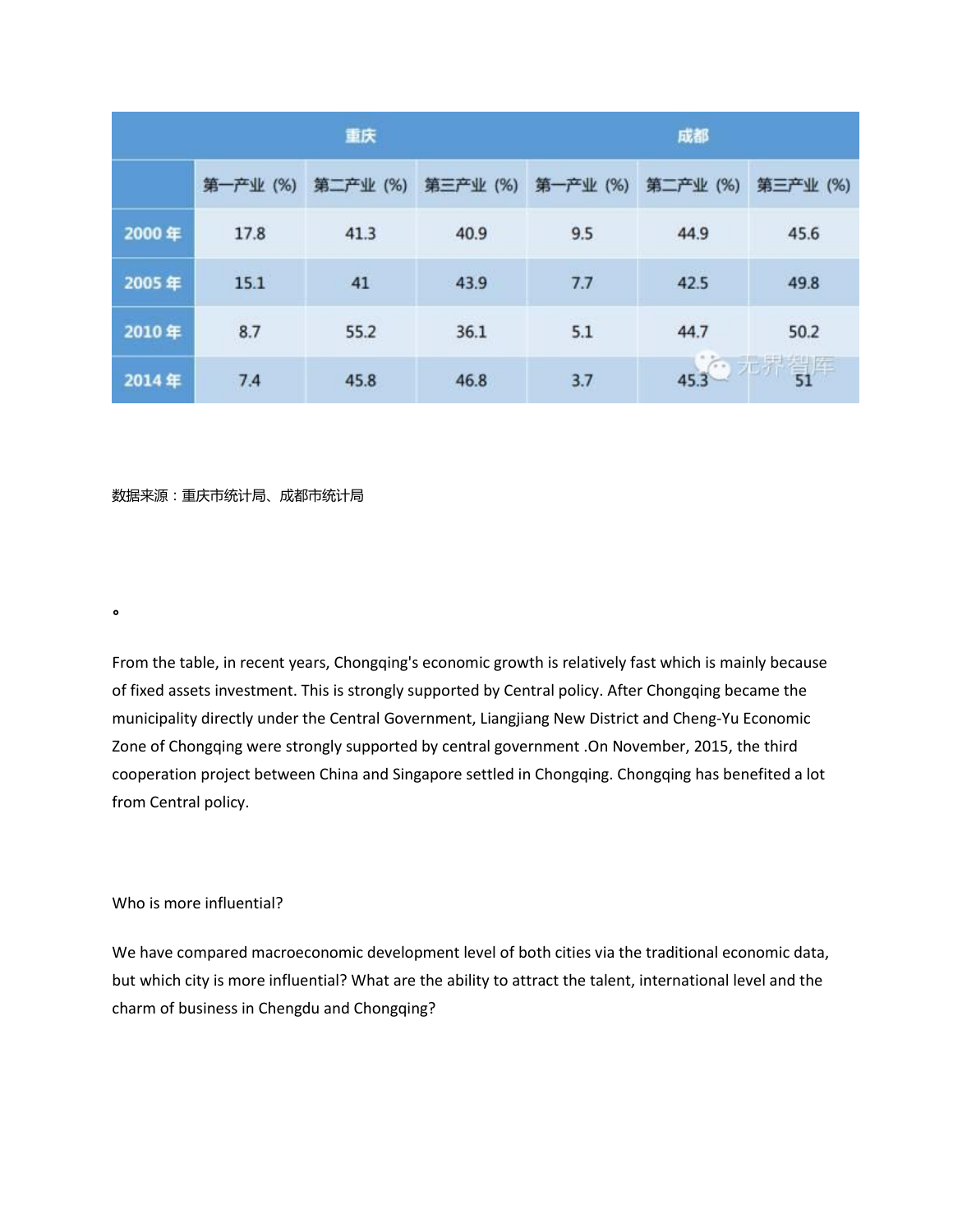|       | 重庆       |          |          | 成都       |          |                   |
|-------|----------|----------|----------|----------|----------|-------------------|
|       | 第一产业 (%) | 第二产业 (%) | 第三产业 (%) | 第一产业 (%) | 第二产业 (%) | 第三产业 (%)          |
| 2000年 | 17.8     | 41.3     | 40.9     | 9.5      | 44.9     | 45.6              |
| 2005年 | 15.1     | 41       | 43.9     | 7.7      | 42.5     | 49.8              |
| 2010年 | 8.7      | 55.2     | 36.1     | 5.1      | 44.7     | 50.2              |
| 2014年 | 7.4      | 45.8     | 46.8     | 3.7      |          | $45.3$ $1.7$ $51$ |

数据来源:重庆市统计局、成都市统计局

From the table, in recent years, Chongqing's economic growth is relatively fast which is mainly because of fixed assets investment. This is strongly supported by Central policy. After Chongqing became the municipality directly under the Central Government, Liangjiang New District and Cheng-Yu Economic Zone of Chongqing were strongly supported by central government .On November, 2015, the third cooperation project between China and Singapore settled in Chongqing. Chongqing has benefited a lot from Central policy.

### Who is more influential?

。

We have compared macroeconomic development level of both cities via the traditional economic data, but which city is more influential? What are the ability to attract the talent, international level and the charm of business in Chengdu and Chongqing?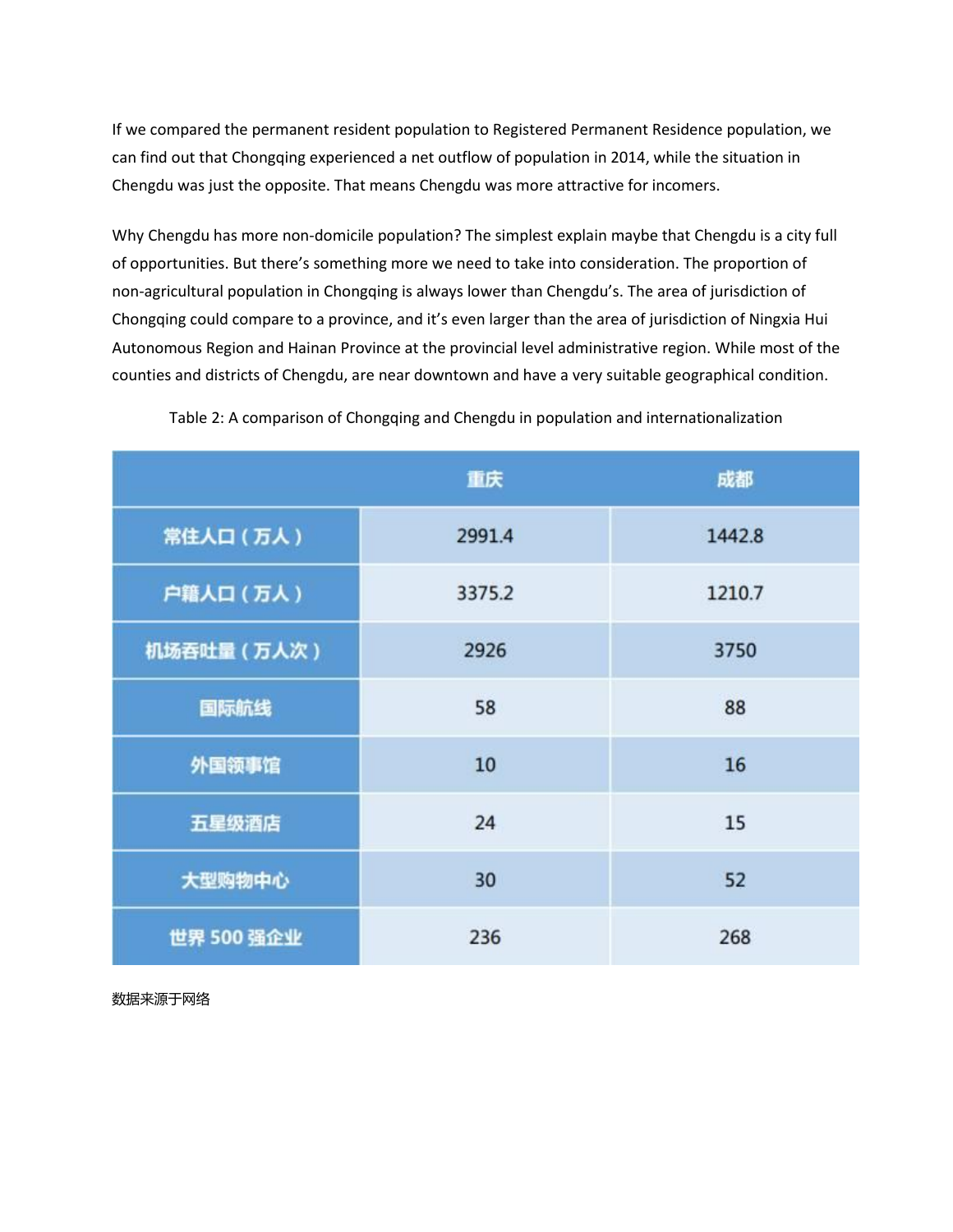If we compared the permanent resident population to Registered Permanent Residence population, we can find out that Chongqing experienced a net outflow of population in 2014, while the situation in Chengdu was just the opposite. That means Chengdu was more attractive for incomers.

Why Chengdu has more non-domicile population? The simplest explain maybe that Chengdu is a city full of opportunities. But there's something more we need to take into consideration. The proportion of non-agricultural population in Chongqing is always lower than Chengdu's. The area of jurisdiction of Chongqing could compare to a province, and it's even larger than the area of jurisdiction of Ningxia Hui Autonomous Region and Hainan Province at the provincial level administrative region. While most of the counties and districts of Chengdu, are near downtown and have a very suitable geographical condition.

|             | 重庆     | 成都     |
|-------------|--------|--------|
| 常住人口 (万人)   | 2991.4 | 1442.8 |
| 户籍人口 (万人)   | 3375.2 | 1210.7 |
| 机场吞吐量 (万人次) | 2926   | 3750   |
| 国际航线        | 58     | 88     |
| 外国领事馆       | 10     | 16     |
| 五星级酒店       | 24     | 15     |
| 大型购物中心      | 30     | 52     |
| 世界 500 强企业  | 236    | 268    |

Table 2: A comparison of Chongqing and Chengdu in population and internationalization

数据来源于网络